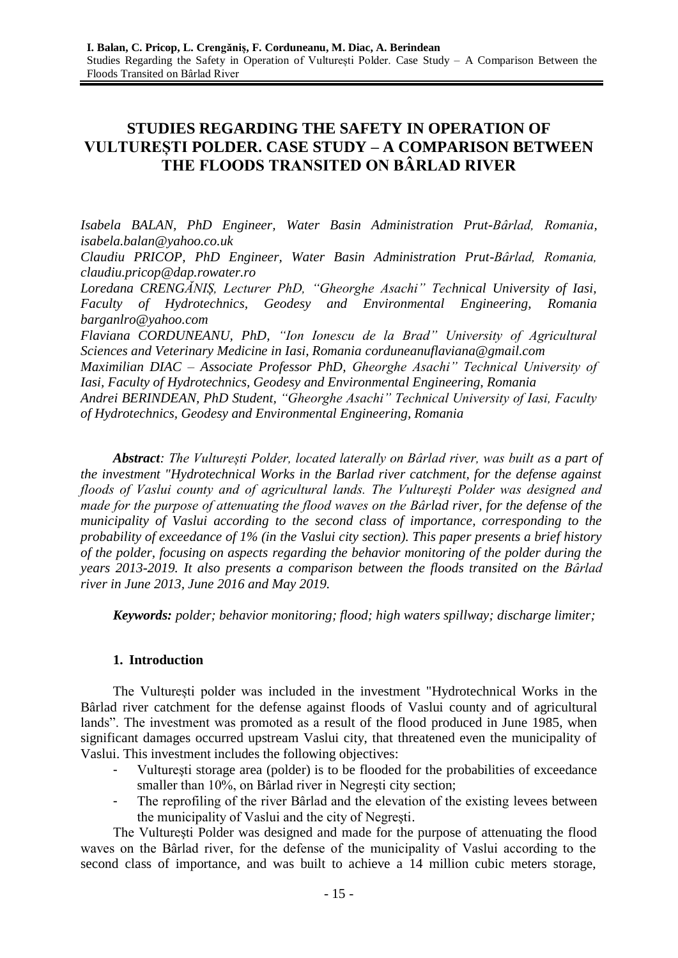# **STUDIES REGARDING THE SAFETY IN OPERATION OF VULTUREȘTI POLDER. CASE STUDY – A COMPARISON BETWEEN THE FLOODS TRANSITED ON BÂRLAD RIVER**

*Isabela BALAN, PhD Engineer, Water Basin Administration Prut-Bârlad, Romania, [isabela.balan@yahoo.co.uk](mailto:isabela.balan@yahoo.co.uk)*

*Claudiu PRICOP, PhD Engineer, Water Basin Administration Prut-Bârlad, Romania, [claudiu.pricop@dap.rowater.ro](mailto:claudiu.pricop@dap.rowater.ro)*

*Loredana CRENGĂNIȘ, Lecturer PhD, "Gheorghe Asachi" Technical University of Iasi, Faculty of Hydrotechnics, Geodesy and Environmental Engineering, Romania [barganlro@yahoo.com](mailto:barganlro@yahoo.com)*

*Flaviana CORDUNEANU, PhD, "Ion Ionescu de la Brad" University of Agricultural Sciences and Veterinary Medicine in Iasi, Romania [corduneanuflaviana@gmail.com](mailto:corduneanuflaviana@gmail.com)*

*Maximilian DIAC – Associate Professor PhD, Gheorghe Asachi" Technical University of Iasi, Faculty of Hydrotechnics, Geodesy and Environmental Engineering, Romania*

*Andrei BERINDEAN, PhD Student, "Gheorghe Asachi" Technical University of Iasi, Faculty of Hydrotechnics, Geodesy and Environmental Engineering, Romania*

*Abstract: The Vulturești Polder, located laterally on Bârlad river, was built as a part of the investment "Hydrotechnical Works in the Barlad river catchment, for the defense against floods of Vaslui county and of agricultural lands. The Vultureşti Polder was designed and made for the purpose of attenuating the flood waves on the Bârlad river, for the defense of the municipality of Vaslui according to the second class of importance, corresponding to the probability of exceedance of 1% (in the Vaslui city section). This paper presents a brief history of the polder, focusing on aspects regarding the behavior monitoring of the polder during the years 2013-2019. It also presents a comparison between the floods transited on the Bârlad river in June 2013, June 2016 and May 2019.*

*Keywords: polder; behavior monitoring; flood; high waters spillway; discharge limiter;*

# **1. Introduction**

The Vulturești polder was included in the investment "Hydrotechnical Works in the Bârlad river catchment for the defense against floods of Vaslui county and of agricultural lands". The investment was promoted as a result of the flood produced in June 1985, when significant damages occurred upstream Vaslui city, that threatened even the municipality of Vaslui. This investment includes the following objectives:

- Vultureşti storage area (polder) is to be flooded for the probabilities of exceedance smaller than 10%, on Bârlad river in Negreşti city section;
- The reprofiling of the river Bârlad and the elevation of the existing levees between the municipality of Vaslui and the city of Negreşti.

The Vultureşti Polder was designed and made for the purpose of attenuating the flood waves on the Bârlad river, for the defense of the municipality of Vaslui according to the second class of importance, and was built to achieve a 14 million cubic meters storage,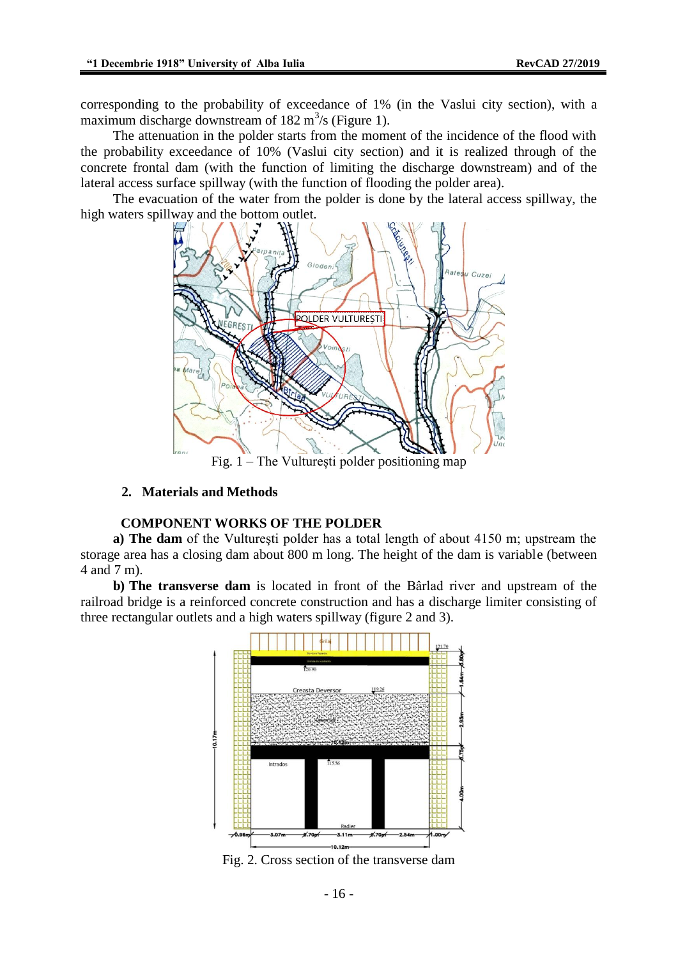corresponding to the probability of exceedance of 1% (in the Vaslui city section), with a maximum discharge downstream of  $182 \text{ m}^3\text{/s}$  (Figure 1).

The attenuation in the polder starts from the moment of the incidence of the flood with the probability exceedance of 10% (Vaslui city section) and it is realized through of the concrete frontal dam (with the function of limiting the discharge downstream) and of the lateral access surface spillway (with the function of flooding the polder area).

The evacuation of the water from the polder is done by the lateral access spillway, the high waters spillway and the bottom outlet.



Fig. 1 – The Vulturești polder positioning map

# **2. Materials and Methods**

## **COMPONENT WORKS OF THE POLDER**

**a) The dam** of the Vultureşti polder has a total length of about 4150 m; upstream the storage area has a closing dam about 800 m long. The height of the dam is variable (between 4 and 7 m).

**b) The transverse dam** is located in front of the Bârlad river and upstream of the railroad bridge is a reinforced concrete construction and has a discharge limiter consisting of three rectangular outlets and a high waters spillway (figure 2 and 3).



Fig. 2. Cross section of the transverse dam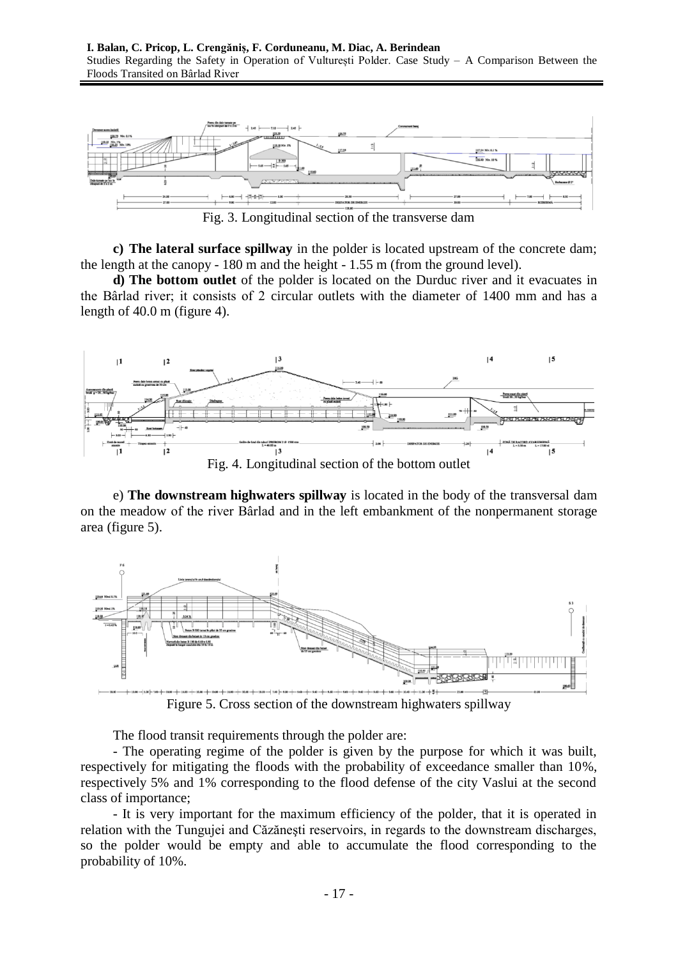**I. Balan, C. Pricop, L. Crengăniș, F. Corduneanu, M. Diac, A. Berindean** Studies Regarding the Safety in Operation of Vulturești Polder. Case Study – A Comparison Between the

Floods Transited on Bârlad River



Fig. 3. Longitudinal section of the transverse dam

**c) The lateral surface spillway** in the polder is located upstream of the concrete dam; the length at the canopy - 180 m and the height - 1.55 m (from the ground level).

**d) The bottom outlet** of the polder is located on the Durduc river and it evacuates in the Bârlad river; it consists of 2 circular outlets with the diameter of 1400 mm and has a length of 40.0 m (figure 4).



Fig. 4. Longitudinal section of the bottom outlet

e) **The downstream highwaters spillway** is located in the body of the transversal dam on the meadow of the river Bârlad and in the left embankment of the nonpermanent storage area (figure 5).



Figure 5. Cross section of the downstream highwaters spillway

The flood transit requirements through the polder are:

- The operating regime of the polder is given by the purpose for which it was built, respectively for mitigating the floods with the probability of exceedance smaller than 10%, respectively 5% and 1% corresponding to the flood defense of the city Vaslui at the second class of importance;

- It is very important for the maximum efficiency of the polder, that it is operated in relation with the Tungujei and Căzăneşti reservoirs, in regards to the downstream discharges, so the polder would be empty and able to accumulate the flood corresponding to the probability of 10%.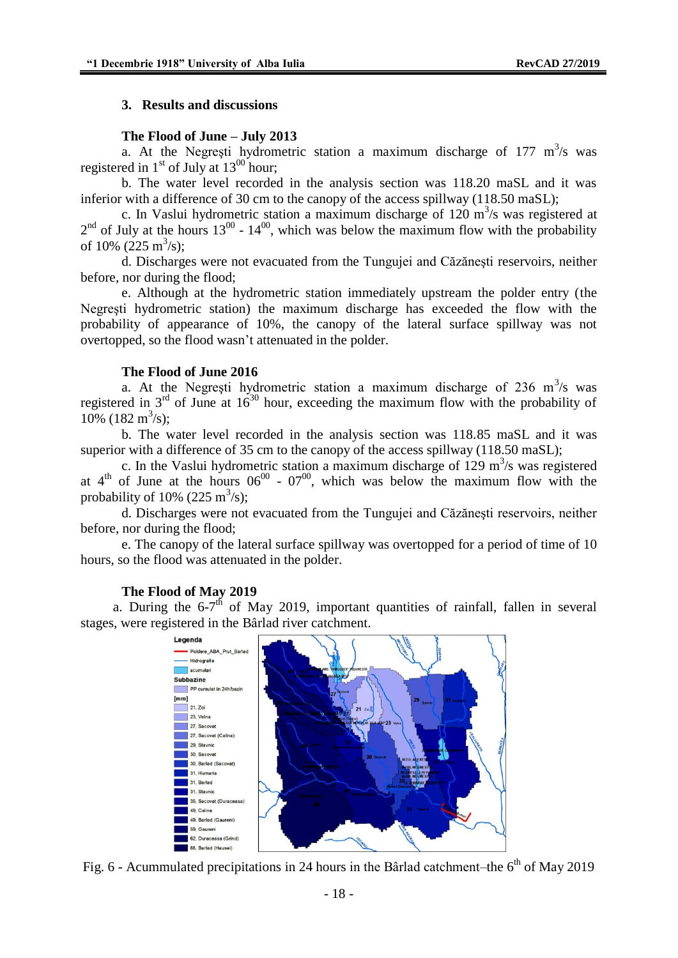## **3. Results and discussions**

#### **The Flood of June – July 2013**

a. At the Negrești hydrometric station a maximum discharge of  $177 \text{ m}^3/\text{s}$  was registered in  $1<sup>st</sup>$  of July at  $13<sup>00</sup>$  hour;

b. The water level recorded in the analysis section was 118.20 maSL and it was inferior with a difference of 30 cm to the canopy of the access spillway (118.50 maSL);

c. In Vaslui hydrometric station a maximum discharge of 120 m 3 /s was registered at  $2<sup>nd</sup>$  of July at the hours 13<sup>00</sup> - 14<sup>00</sup>, which was below the maximum flow with the probability of 10% (225 m<sup>3</sup>/s);

d. Discharges were not evacuated from the Tungujei and Căzăneşti reservoirs, neither before, nor during the flood;

e. Although at the hydrometric station immediately upstream the polder entry (the Negreşti hydrometric station) the maximum discharge has exceeded the flow with the probability of appearance of 10%, the canopy of the lateral surface spillway was not overtopped, so the flood wasn't attenuated in the polder.

### **The Flood of June 2016**

a. At the Negrești hydrometric station a maximum discharge of 236 m<sup>3</sup>/s was registered in  $3<sup>rd</sup>$  of June at  $16<sup>30</sup>$  hour, exceeding the maximum flow with the probability of  $10\%$  (182 m<sup>3</sup>/s);

b. The water level recorded in the analysis section was 118.85 maSL and it was superior with a difference of 35 cm to the canopy of the access spillway (118.50 maSL);

c. In the Vaslui hydrometric station a maximum discharge of  $129 \text{ m}^3\text{/s}$  was registered at  $4<sup>th</sup>$  of June at the hours  $06<sup>00</sup>$  -  $07<sup>00</sup>$ , which was below the maximum flow with the probability of 10% (225 m<sup>3</sup>/s);

d. Discharges were not evacuated from the Tungujei and Căzăneşti reservoirs, neither before, nor during the flood;

e. The canopy of the lateral surface spillway was overtopped for a period of time of 10 hours, so the flood was attenuated in the polder.

#### **The Flood of May 2019**

a. During the  $6-7<sup>th</sup>$  of May 2019, important quantities of rainfall, fallen in several stages, were registered in the Bârlad river catchment.



Fig. 6 - Acummulated precipitations in 24 hours in the Bârlad catchment–the  $6<sup>th</sup>$  of May 2019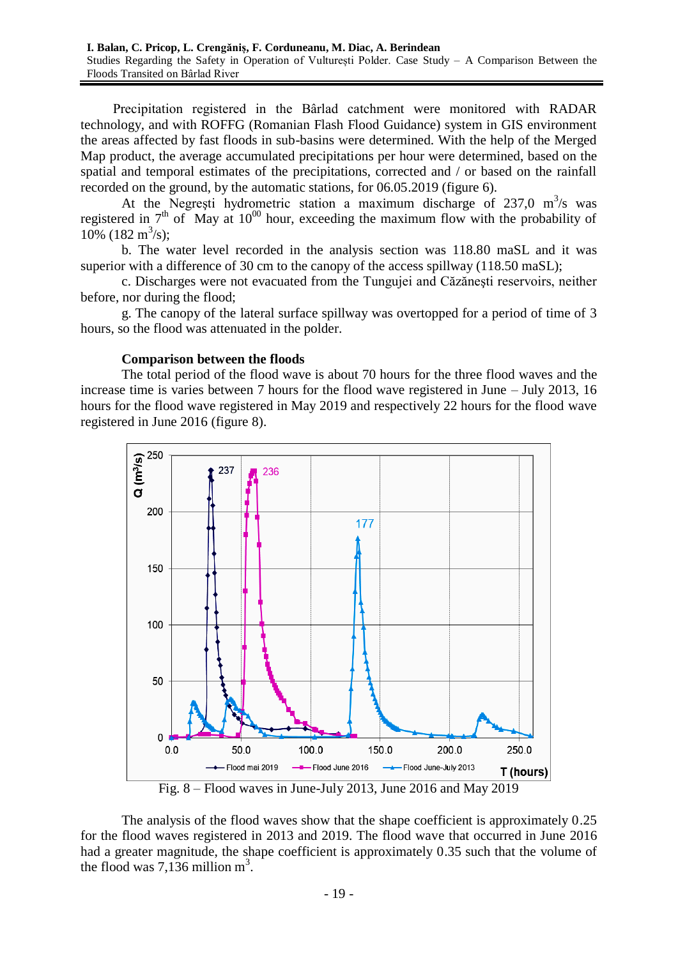Precipitation registered in the Bârlad catchment were monitored with RADAR technology, and with ROFFG (Romanian Flash Flood Guidance) system in GIS environment the areas affected by fast floods in sub-basins were determined. With the help of the Merged Map product, the average accumulated precipitations per hour were determined, based on the spatial and temporal estimates of the precipitations, corrected and / or based on the rainfall recorded on the ground, by the automatic stations, for 06.05.2019 (figure 6).

At the Negrești hydrometric station a maximum discharge of  $237.0 \text{ m}^3/\text{s}$  was registered in  $7<sup>th</sup>$  of May at  $10<sup>00</sup>$  hour, exceeding the maximum flow with the probability of  $10\%$  (182 m<sup>3</sup>/s);

b. The water level recorded in the analysis section was 118.80 maSL and it was superior with a difference of 30 cm to the canopy of the access spillway (118.50 maSL);

c. Discharges were not evacuated from the Tungujei and Căzăneşti reservoirs, neither before, nor during the flood;

g. The canopy of the lateral surface spillway was overtopped for a period of time of 3 hours, so the flood was attenuated in the polder.

## **Comparison between the floods**

The total period of the flood wave is about 70 hours for the three flood waves and the increase time is varies between 7 hours for the flood wave registered in June – July 2013, 16 hours for the flood wave registered in May 2019 and respectively 22 hours for the flood wave registered in June 2016 (figure 8).



Fig. 8 – Flood waves in June-July 2013, June 2016 and May 2019

The analysis of the flood waves show that the shape coefficient is approximately 0.25 for the flood waves registered in 2013 and 2019. The flood wave that occurred in June 2016 had a greater magnitude, the shape coefficient is approximately 0.35 such that the volume of the flood was  $7,136$  million m<sup>3</sup>.